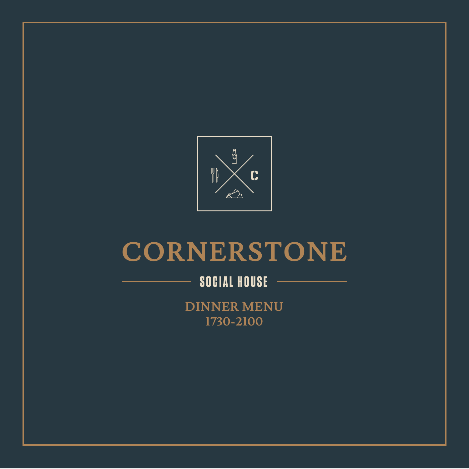

# CORNERSTONE

# **SOCIAL HOUSE**

**DINNER MENU 1730-2100**